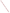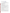# **Consumer Factsheet on: ANTIMONY**

[List of Contaminants](http://www.epa.gov/safewater/hfacts.html) 

 As part of the Drinking Water and Health pages, this fact sheet is part of a larger publication: **National Primary Drinking Water Regulations** 

 States Environmental Protection Agency (EPA). This is a factsheet about a chemical that may be found in some public or private drinking water supplies. It may cause health problems if found in amounts greater than the health standard set by the United

## **What is Antimony and how is it used?**

 Antimony is a metal found in natural deposits as ores containing other elements. The most widely used antimony compound is antimony trioxide, used as a flame retardant. It is also found in batteries, pigments, and ceramics/glass.

# **Why is Antimony being Regulated?**

 based solely on possible health risks and exposure, are called Maximum Contaminant Level Goals. In 1974, Congress passed the Safe Drinking Water Act. This law requires EPA to determine safe levels of chemicals in drinking water which do or may cause health problems. These non-enforceable levels,

 protection would not cause any of the potential health problems described below. The MCLG for antimony has been set at 6 parts per billion (ppb) because EPA believes this level of

 Based on this MCLG, EPA has set an enforceable standard called a Maximum Contaminant Level (MCL). MCLs are set as close to the MCLGs as possible, considering the ability of public water systems to detect and remove contaminants using suitable treatment technologies.

 should it occur in drinking water. The MCL has also been set at 6 ppb because EPA believes, given present technology and resources, this is the lowest level to which water systems can reasonably be required to remove this contaminant

These drinking water standards and the regulations for ensuring these standards are met, are called National Primary Drinking Water Regulations. All public water supplies must abide by these regulations.

# **What are the Health Effects?**

Short-term: EPA has found antimony to potentially cause the following health effects when people are exposed to it at levels above the MCL for relatively short periods of time: nausea, vomiting and diarrhea.

 Long-term: Antimony has the potential to cause the following effects from a lifetime exposure at levels above the MCL: AND/OR- Antimony is a (known/potential drinking water) human carcinogen. OR- No reliable data are available concerning health effects from long-term exposure to antimony in drinking water.

## **How much Antimony is produced and released to the environment?**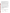In 1984, 64.5 million lbs. antimony ore was mined and refined. Production of the most commonly used antimony compound, the trioxide, increased during the 1980s to about 31 million lbs, reported in 1985. Industrial dust, auto exhaust and home heating oil are the main sources in urban air.

From 1987 to 1993, according to the Toxics Release Inventory antimony and antimony compound releases to land and water totaled over 12 million lbs. These releases were primarily from copper and lead smelting and refining industries. The largest releases occurred in Arizona and Montana. The greatest releases to water occurred in Washington and Louisiana.

## **What happens to Antimony when it is released to the environment?**

 Little is known about antimonys fate once released to soil. Some studies indicate that antimony is highly mobile in soils, while others conclude that it strongly adsorbs to soil. In water, it usually adheres to sediments. Most antimony compounds show little or no tendency to accumulate in aquatic life.

#### **How will Antimony be Detected in and Removed from My Drinking Water?**

 The regulation for antimony became effective in 1994. Between 1993 and 1995, EPA required your water supplier to collect water samples every 3 months for one year and analyze them to find out if antimony is present above 6 ppb. If it is present above this level, the system must continue to monitor this contaminant.

If contaminant levels are found to be consistently above the MCL, your water supplier must take steps to reduce the amount of antimony so that it is consistently below that level. The following treatment methods have been approved by EPA for removing antimony: Coagulation/Filtration, Reverse Osmosis.

# **How will I know if Antimony is in my drinking water?**

 required to prevent serious risks to public health. If the levels of antimony exceed the MCL, the system must notify the public via newspapers, radio, TV and other means. Additional actions, such as providing alternative drinking water supplies, may be

## **Drinking Water Standards:**

MCLG: 6 ppb

MCL: 6 ppb

# **Antimony Releases to Water and Land, 1987 to 1993 (in pounds):**

| Water | ∣ Land                    |
|-------|---------------------------|
|       | TOTALS 330,064 12,003,373 |

| Top Ten States* |        |           |  |  |
|-----------------|--------|-----------|--|--|
| AZ              | 505    | 7,074,128 |  |  |
| MT              | O      | 2,338,697 |  |  |
| TX              | 24,817 | 840,392   |  |  |